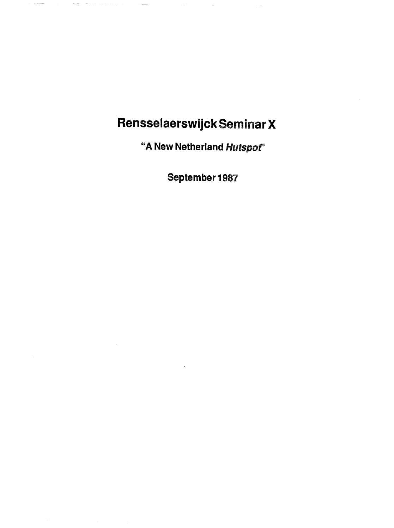## laerswijck Seminar X

 $\sim$ 

 $\bar{\omega}$ 

 $\mathcal{L}_{\text{max}}$  ,  $\mathcal{L}_{\text{max}}$ 

 $\mathcal{L}^{\text{max}}_{\text{max}}$  .

 $\cdot$ 

"A New Netherland Hutspot"

September 1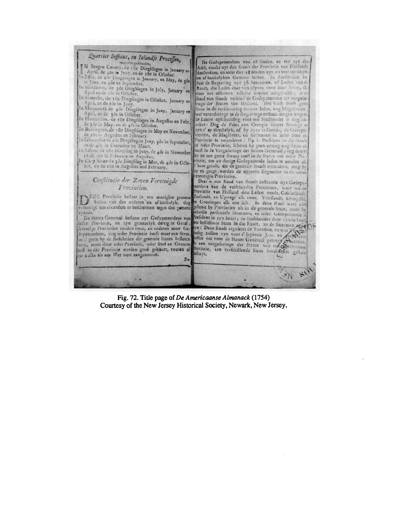

Fig. 72. Title page of *De Americaanse Almanack* (1754) Courtesy of the New Jersey Historical Society, Newark, New Jersey.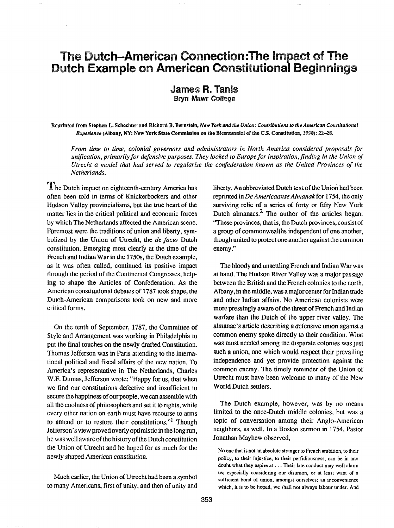## The Dutch-American Connection: The Impact of The Dutch Example on American Constitutional Beginnings

**James R. Tanis Bryn Mawr College** 

Reprinted from Stephen L. Schechter and Richard B. Bernstein, New York and the Union: Contributions to the American Constitutional Experience (Albany, NY: New York State Commission on the Bicentennial of the U.S. Constitution, 1990): 22-28.

From time to time, colonial governors and administrators in North America considered proposals for unification, primarily for defensive purposes. They looked to Europe for inspiration, finding in the Union of Utrecht a model that had served to regularize the confederation known as the United Provinces of the Netherlands.

The Dutch impact on eighteenth-century America has often been told in terms of Knickerbockers and other Hudson Valley provincialisms, but the true heart of the matter lies in the critical political and economic forces by which The Netherlands affected the American scene. Foremost were the traditions of union and liberty, symbolized by the Union of Utrecht, the de facto Dutch constitution. Emerging most clearly at the time of the French and Indian War in the 175Os, the Dutch example, as it was often called, continued its positive impact through the period of the Continental Congresses, helping to shape the Articles of Confederation. As the American constitutional debates of I787 took shape, the Dutch-American comparisons took on new and more critical forms.

On the tenth of September, 1787, the Committee of Style and Arrangement was working in Philadelphia to put the final touches on the newly drafted Constitution. Thomas Jefferson was in Paris attending to the international political and fiscal affairs of the new nation. To America's representative in The Netherlands, Charles W.F. Dumas, Jefferson wrote: "Happy for us, that when we find our constitutions defective and insufficient to secure the happiness of our people, wecan assemble with all the coolness of philosophers and set it to rights, while every other nation on earth must have recourse to arms to amend or to restore their constitutions."<sup>1</sup> Though Jefferson's view proved overly optimistic in the long run, he was well aware of the history of the Dutch constitution the Union of Utrecht and he hoped for as much for the newly shaped American constitution.

Much earlier, the Union of Utrecht had been a symbol to many Americans, first of unity, and then of unity and liberty. An abbreviated Dutch text of the Union had been reprinted in De Americaanse Almanak for 1754, the only surviving relic of a series of forty or fifty New York Dutch almanacs.<sup>2</sup> The author of the articles began: "These provinces, that is, the Dutch provinces, consist of a group of commonwealths independent of one another, though united to protect one another against the common enemy."

The bloody and unsettling French and Indian War was at hand. The Hudson River Valley was a major passage between the British and the French colonies to the north. Albany, in the middle, was a major center for Indian trade and other Indian affairs. No American colonists were more pressingly aware of the threat of French and Indian warfare than the Dutch of the upper river valley. The almanac's article describing a defensive union against a common enemy spoke directly to their condition. What was most needed among the disparate colonies was just such a union, one which would respect their prevailing independence and yet provide protection against the common enemy. The timely reminder of the Union of Utrecht must have been welcome to many of the New World Dutch settlers.

The Dutch example, however, was by no means limited to the once-Dutch middle colonies, but was a topic of conversation among their Anglo-American neighbors, as well. In a Boston sermon in 1754, Pastor Jonathan Mayhew observed,

No one that is not an absolute stranger to French ambition, to their policy. to their injustice, to their perfidiousness, can be in any doubt what they aspire at. . . Their late conduct may well alarm us; especially considering our disunion, or at least want of a sufficient bond of union, amongst ourselves; an inconvenience which, it is to be hoped, we shall not always labour under. And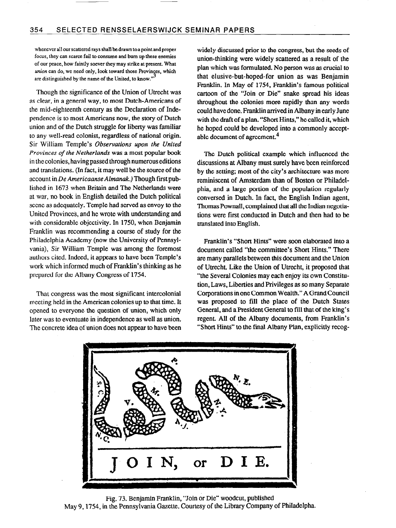whenever all our scattered rays shall be drawn to a point and proper focus, they can scarce fail to consume and bum up these enemies of our peace, how faintly soever they may strike at present. What union can do, we need only, look toward those Provinces, which are distinguished by the name of the United, to know."

Though the significance of the Union of Utrecht was as clear, in a general way, to most Dutch-Americans of the mid-eighteenth century as the Declaration of Independence is to most Americans now, the story of Dutch union and of the Dutch struggle for liberty was familiar to any well-read colonist, regardless of national origin. Sir William Temple's Observations upon the United Provinces of the Netherlands was a most popular book in the colonies, having passed through numerous editions and translations. (In fact, it may well be the source of the account in De Americaanse Almanak.) Though first published in 1673 when Britain and The Netherlands were at war, no book in English detailed the Dutch political scene as adequately. Temple had served as envoy to the United Provinces, and he wrote with understanding and with considerable objectivity. In 1750, when Benjamin Franklin was recommending a course of study for the Philadelphia Academy (now the University of Pennsylvania), Sir William Temple was among the foremost authors cited. Indeed, it appears to have been Temple's work which informed much of Franklin's thinking as he prepared for the Albany Congress of 1754.

That congress was the most significant intercolonial meeting held in the American colonies up to that time. It opened to everyone the question of union, which only later was to eventuate in independence as well as union. The concrete idea of union does not appear to have been widely discussed prior to the congress, but the seeds of union-thinking were widely scattered as a result of the plan which was formulated. No person was as crucial to that elusive-but-hoped-for union as was Benjamin Franklin. In May of 1754, Franklin's famous political cartoon of the "Join or Die" snake spread his ideas throughout the colonies more rapidly than any words could have done. Franklin arrived in Albany in early June with the draft of a plan. "Short Hints," he called it, which he hoped could be developed into a commonly acceptable document of agreement.4

The Dutch political example which influenced the discussions at Albany must surely have been reinforced by the setting; most of the city's architecture was more reminiscent of Amsterdam than of Boston or Philadelphia, and a large portion of the popularion regularly conversed in Dutch. In fact, the English Indian agent, Thomas Pownall, complained that all the Indian negotiations were first conducted in Dutch and then had to be translated into English.

Franklin's "Short Hints" were soon elaborated into a document called "the committee's Short Hints." There are many parallels between this document and the Union of Utrecht. Like the Union of Utrecht, it proposed that "the Several Colonies may each enjoy its own Constitution, Laws, Liberties and Privileges as so many Separate Corporations in one Common Wealth." A Grand Council was proposed to fill the place of the Dutch States General, and a President General to fill that of the king's regent. All of the Albany documents, from Franklin's "Short Hints" to the final Albany Plan, explicitly recog-



Fig. 73. Benjamin Franklin, "Join or Die" woodcut, published May 9,1754, in the Pennsylvania Gazette. Courtesy of the Library Company of Philadelpha..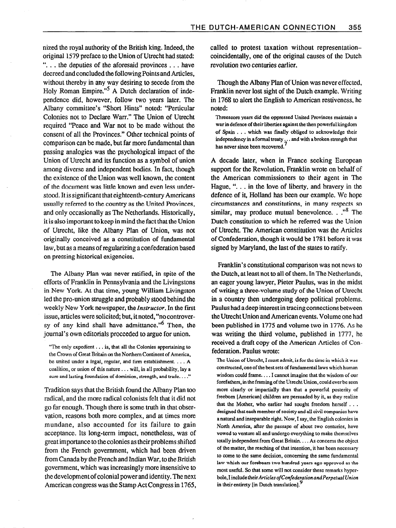nized the royal authority of the British king. Indeed, the original 1579 preface to the Union of Utrecht had stated "... the deputies of the aforesaid provinces ... have decreed and concluded the following Points and Articles, without thereby in any way desiring to secede from the Holy Roman Empire."<sup>5</sup> A Dutch declaration of independence did, however, follow two years later. The Albany committee's "Short Hints" noted: "Perticular Colonies not to Declare Warr." The Union of Utrecht required "Peace and War not to be made without the consent of all the Provinces." Other technical points of comparison can be made, but far more fundamental than passing analogies was the psychological impact of the Union of Utrecht and its function as a symbol of union among diverse and independent bodies. In fact, though the existence of the Union was well known, the content of the document was little known and even less understood. It is significant that eighteenth-century Americans usually referred to the country as the United Provinces, and only occasionally as The Netherlands. Historically, it is also important to keep in mind the fact that the Union of Utrecht, like the Albany Plan of Union, was not originally conceived as a constitution of fundamental law, but as a means of regularizing aconfederation based on pressing historical exigencies.

The Albany Plan was never ratified, in spite of the efforts of Franklin in Pennsylvania and the Livingstons in New York. At that time, young William Livingston led the pro-union struggle and probably stood behind the weekly New York newspaper, the Instructor. In the first issue, articles were solicited; but, it noted, "no controversy of any kind shall have admittance."<sup>6</sup> Then, the journal's own editorials proceeded to argue for union.

Tradition says that the British found the Albany Plan too radical, and the more radical colonists felt that it did not go far enough. Though there is some truth in that observation, reasons both more complex, and at times more mundane, also accounted for its failure to gain acceptance. Its long-term impact, nonetheless, was of great importance to the colonies as their problems shifted from the French government, which had been driven from Canada by the French and Indian War, to the British government, which was increasingly more insensitive to the development of colonial power and identity. The next American congress was the Stamp Act Congress in 1765,

called to protest taxation without representationcoincidentally, one of the original causes of the Dutch revolution two centuries earlier.

Though the Albany Plan of Union was never effected, Franklin never lost sight of the Dutch example. Writing in 1768 to alert the English to American restiveness, he noted:

Threescore years did the oppressed United Provinces maintain a war in defence of their liberties against the then powerful kingdom of Spain . . . which was fmally obliged to acknowledge their independency in a formal treaty.. . and with a broken strength that has never since been recovered.

A decade later, when in France seeking European support for the Revolution, Franklin wrote on behalf of the American commissioners to their agent in The Hague, ". . . in the love of liberty, and bravery in the defence of it, Holland has been our example. We hope circumstances and constitutions, in many respects so similar, may produce mutual benevolence.  $\cdot$ ."<sup>8</sup> The Dutch constitution to which he referred was the Union of Utrecht. The American constitution was the Articles of Confederation, though it would be 1781 before it was signed by Maryland, the last of the states to ratify.

Franklin's constitutional comparison was not news to the Dutch, at least not to all of them. In The Netherlands, an eager young lawyer, Pieter Paulus, was in the midst of writing a three-volume study of the Union of Utrecht in a country then undergoing deep political problems. Paulus had adeep interest in tracing connections between the Utrecht Union and American events. Volume one had been published in 1775 and volume two in 1776. As he was writing the third volume, published in 1777, he received a draft copy of the American Articles of Confederation. Paulus wrote:

The Union of Utrecht, I must admit, is for the time in which it was constructed, one of the best sets of fundamental laws which human wisdom could frame. . . . I cannot imagine that the wisdom of our forefathers, in the framing of the Utrecht Union, could ever be seen more clearly or impartially than that a powerful posterity of freeborn [American] children are persuaded by it, as they realize that the Mother, who earlier had sought freedom herself  $\ldots$ designed that each member of society and all civil companies have a natural and inseparable right. Now, I say, the English colonies in North America, after the passape of about two centuries, have vowed to venture all and undergo everything to make themselves totally independent from Great Britain. . . . As concerns the object of the matter, the reaching of that intention, it has been necessary to come to the same decision, concerning the same fundamental law which our forebears two hundred years ago approved as the most useful. So that some will not consider these remarks hyperbole. I include their Articles of Confederation and Perpetual Union in their entirety [in Dutch translation].<sup>5</sup>

<sup>&</sup>quot;The only expedient. . . is, that all the Colonies appertaining to the Crown of Great Britain on the Northern Continent of America, be united under a legal, regular, and firm establishment. . . . A coalition, or union of this nature . . . will, in all probability, lay a sure and lasting foundation of dominion, strength, and trade. . . ."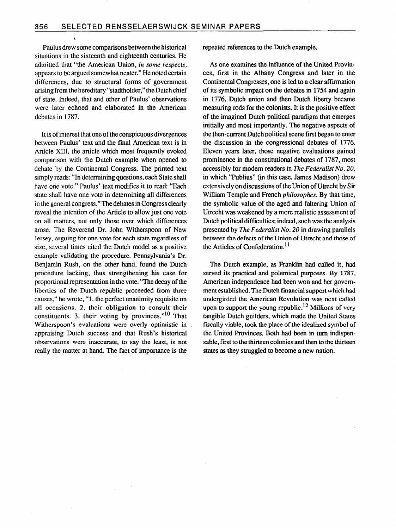Paulus drew some comparisons between the historical situations in the sixteenth and eighteenth centuries. He admitted that "the American Union, in some respects, appears to be argued somewhat neater." He noted certain differences, due to structural forms of government arising from the hereditary "stadtholder," the Dutch chief of state. Indeed, that and other of Paulus' observations were later echoed and elaborated in the American debates in 1787.

It is of interest that one of the conspicuous divergences between Paulus' text and the final American text is in Article XIII, the article which most frequently evoked comparison with the Dutch example when opened to debate by the Continental Congress. The printed text simply reads: "In determining questions, each State shall have one vote." Paulus' text modifies it to read: "Each state shall have one vote in determining all differences in the general congress." The debates in Congress clearly reveal the intention of the Article to allow just one vote on all matters, not only those over which differences arose. The Reverend Dr. John Witherspoon of New Jersey, arguing for one vote for each state regardless of size, several times cited the Dutch model as a positive example validating the procedure. Pennsylvania's Dr. Benjamin Rush, on the other hand, found the Dutch procedure lacking, thus strengthening his case for proportional representation in the vote. "The decay of the liberties of the Dutch republic proceeded from three causes," he wrote, "1. the perfect unanimity requisite on all occasions. 2. their obligation to consult their constituents. 3. their voting by provinces." $10$  That Witherspoon's evaluations were overly optimistic in appraising Dutch success and that Rush's historical observations were inaccurate, to say the least, is not really the matter at hand. The fact of importance is the

repeated references to the Dutch example.

As one examines the influence of the United Provinces, first in the Albany Congress and later in the Continental Congresses, one is led to a clear affirmation of its symbolic impact on the debates in 1754 and again in 1776. Dutch union and then Dutch liberty became measuring rods for the colonists. It is the positive effect of the imagined Dutch political paradigm that emerges initially and most importantly. The negative aspects of the then-current Dutch political scene first began to enter the discussion in the congressional debates of 1776. Eleven years later, those negative evaluations gained prominence in the constitutional debates of 1787, most accessibly for modern readers in The Federalist No. 20, in which "Publius" (in this case, James Madison) drew extensively on discussions of the Union of Utrecht by Sir William Temple and French philosophes. By that time, the symbolic value of the aged and fahering Union of Utrecht was weakened by a more realistic assessment of Dutch political difficulties; indeed, such was the analysis presented by The Federalist No. 20 in drawing parallels between the defects of the Union of Utrecht and those of the Articles of Confederation. $<sup>11</sup>$ </sup>

The Dutch example, as Franklin had called it. had served its practical and polemical purposes. By 1787, American independence had been won and her govemment established. The Dutch financial support which had undergirded the American Revolution was next called upon to support the young republic.<sup>12</sup> Millions of very tangible Dutch guilders, which made the United States fiscally viable, took the place of the idealized symbol of the United Provinces. Both had been in turn indispensable, first to the thirteen colonies and then to the thirteen states as they struggled to become a new nation.